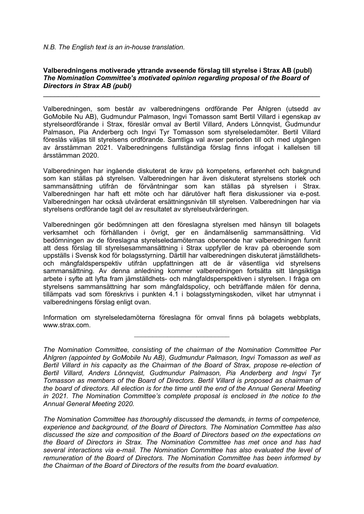## *N.B. The English text is an in-house translation.*

## **Valberedningens motiverade yttrande avseende förslag till styrelse i Strax AB (publ)** *The Nomination Committee's motivated opinion regarding proposal of the Board of Directors in Strax AB (publ)*

 $\mathcal{L}_\text{max}$  and  $\mathcal{L}_\text{max}$  and  $\mathcal{L}_\text{max}$  and  $\mathcal{L}_\text{max}$  and  $\mathcal{L}_\text{max}$  and  $\mathcal{L}_\text{max}$ 

Valberedningen, som består av valberedningens ordförande Per Åhlgren (utsedd av GoMobile Nu AB), Gudmundur Palmason, Ingvi Tomasson samt Bertil Villard i egenskap av styrelseordförande i Strax, föreslår omval av Bertil Villard, Anders Lönnqvist, Gudmundur Palmason, Pia Anderberg och Ingvi Tyr Tomasson som styrelseledamöter. Bertil Villard föreslås väljas till styrelsens ordförande. Samtliga val avser perioden till och med utgången av årsstämman 2021. Valberedningens fullständiga förslag finns infogat i kallelsen till årsstämman 2020.

Valberedningen har ingående diskuterat de krav på kompetens, erfarenhet och bakgrund som kan ställas på styrelsen. Valberedningen har även diskuterat styrelsens storlek och sammansättning utifrån de förväntningar som kan ställas på styrelsen i Strax. Valberedningen har haft ett möte och har därutöver haft flera diskussioner via e-post. Valberedningen har också utvärderat ersättningsnivån till styrelsen. Valberedningen har via styrelsens ordförande tagit del av resultatet av styrelseutvärderingen.

Valberedningen gör bedömningen att den föreslagna styrelsen med hänsyn till bolagets verksamhet och förhållanden i övrigt, ger en ändamålsenlig sammansättning. Vid bedömningen av de föreslagna styrelseledamöternas oberoende har valberedningen funnit att dess förslag till styrelsesammansättning i Strax uppfyller de krav på oberoende som uppställs i Svensk kod för bolagsstyrning. Därtill har valberedningen diskuterat jämställdhetsoch mångfaldsperspektiv utifrån uppfattningen att de är väsentliga vid styrelsens sammansättning. Av denna anledning kommer valberedningen fortsätta sitt långsiktiga arbete i syfte att lyfta fram jämställdhets- och mångfaldsperspektiven i styrelsen. I fråga om styrelsens sammansättning har som mångfaldspolicy, och beträffande målen för denna, tillämpats vad som föreskrivs i punkten 4.1 i bolagsstyrningskoden, vilket har utmynnat i valberedningens förslag enligt ovan.

Information om styrelseledamöterna föreslagna för omval finns på bolagets webbplats, www.strax.com.

*The Nomination Committee, consisting of the chairman of the Nomination Committee Per Åhlgren (appointed by GoMobile Nu AB), Gudmundur Palmason, Ingvi Tomasson as well as Bertil Villard in his capacity as the Chairman of the Board of Strax, propose re-election of Bertil Villard, Anders Lönnqvist, Gudmundur Palmason, Pia Anderberg and Ingvi Tyr Tomasson as members of the Board of Directors. Bertil Villard is proposed as chairman of the board of directors. All election is for the time until the end of the Annual General Meeting in 2021. The Nomination Committee's complete proposal is enclosed in the notice to the Annual General Meeting 2020.*

*The Nomination Committee has thoroughly discussed the demands, in terms of competence, experience and background, of the Board of Directors. The Nomination Committee has also discussed the size and composition of the Board of Directors based on the expectations on the Board of Directors in Strax. The Nomination Committee has met once and has had several interactions via e-mail. The Nomination Committee has also evaluated the level of remuneration of the Board of Directors. The Nomination Committee has been informed by the Chairman of the Board of Directors of the results from the board evaluation.*